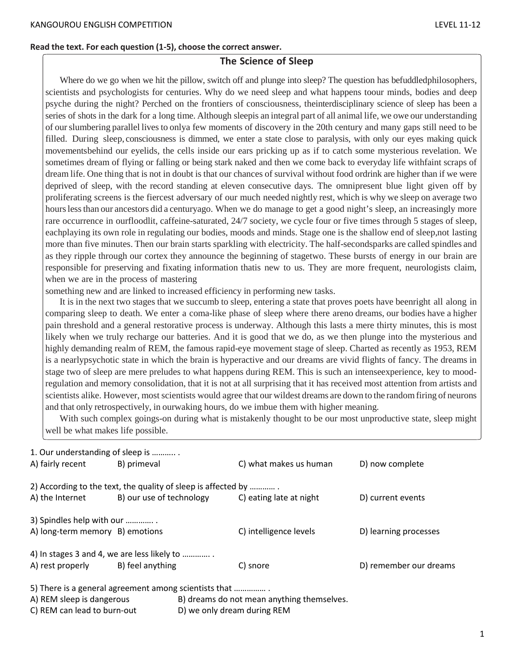#### **Read the text. For each question (1-5), choose the correct answer.**

## **The Science of Sleep**

Where do we go when we hit the pillow, switch off and plunge into sleep? The question has befuddledphilosophers, scientists and psychologists for centuries. Why do we need sleep and what happens toour minds, bodies and deep psyche during the night? Perched on the frontiers of consciousness, theinterdisciplinary science of sleep has been a series of shots in the dark for a long time. Although sleepis an integral part of all animal life, we owe our understanding of ourslumbering parallel livesto onlya few moments of discovery in the 20th century and many gaps still need to be filled. During sleep, consciousness is dimmed, we enter a state close to paralysis, with only our eyes making quick movementsbehind our eyelids, the cells inside our ears pricking up as if to catch some mysterious revelation. We sometimes dream of flying or falling or being stark naked and then we come back to everyday life withfaint scraps of dream life. One thing that is not in doubt is that our chances of survival without food ordrink are higher than if we were deprived of sleep, with the record standing at eleven consecutive days. The omnipresent blue light given off by proliferating screens is the fiercest adversary of our much needed nightly rest, which is why we sleep on average two hours less than our ancestors did a centuryago. When we do manage to get a good night's sleep, an increasingly more rare occurrence in ourfloodlit, caffeine-saturated, 24/7 society, we cycle four or five times through 5 stages of sleep, eachplaying its own role in regulating our bodies, moods and minds. Stage one is the shallow end of sleep,not lasting more than five minutes. Then our brain starts sparkling with electricity. The half-secondsparks are called spindles and as they ripple through our cortex they announce the beginning of stagetwo. These bursts of energy in our brain are responsible for preserving and fixating information thatis new to us. They are more frequent, neurologists claim, when we are in the process of mastering

something new and are linked to increased efficiency in performing new tasks.

It is in the next two stages that we succumb to sleep, entering a state that proves poets have beenright all along in comparing sleep to death. We enter a coma-like phase of sleep where there areno dreams, our bodies have a higher pain threshold and a general restorative process is underway. Although this lasts a mere thirty minutes, this is most likely when we truly recharge our batteries. And it is good that we do, as we then plunge into the mysterious and highly demanding realm of REM, the famous rapid-eye movement stage of sleep. Charted as recently as 1953, REM is a nearlypsychotic state in which the brain is hyperactive and our dreams are vivid flights of fancy. The dreams in stage two of sleep are mere preludes to what happens during REM. This is such an intenseexperience, key to moodregulation and memory consolidation, that it is not at all surprising that it has received most attention from artists and scientists alike. However, most scientists would agree that our wildest dreams are down to the randomfiring of neurons and that only retrospectively, in ourwaking hours, do we imbue them with higher meaning.

With such complex goings-on during what is mistakenly thought to be our most unproductive state, sleep might well be what makes life possible.

| 1. Our understanding of sleep is                                        |                                                               |                         |                        |  |
|-------------------------------------------------------------------------|---------------------------------------------------------------|-------------------------|------------------------|--|
| A) fairly recent                                                        | B) primeval                                                   | C) what makes us human  | D) now complete        |  |
|                                                                         | 2) According to the text, the quality of sleep is affected by |                         |                        |  |
| A) the Internet                                                         | B) our use of technology                                      | C) eating late at night | D) current events      |  |
| 3) Spindles help with our                                               |                                                               |                         |                        |  |
| A) long-term memory B) emotions                                         |                                                               | C) intelligence levels  | D) learning processes  |  |
|                                                                         | 4) In stages 3 and 4, we are less likely to                   |                         |                        |  |
| A) rest properly                                                        | B) feel anything                                              | C) snore                | D) remember our dreams |  |
| 5) There is a general agreement among scientists that                   |                                                               |                         |                        |  |
| A) REM sleep is dangerous<br>B) dreams do not mean anything themselves. |                                                               |                         |                        |  |

C) REM can lead to burn-out D) we only dream during REM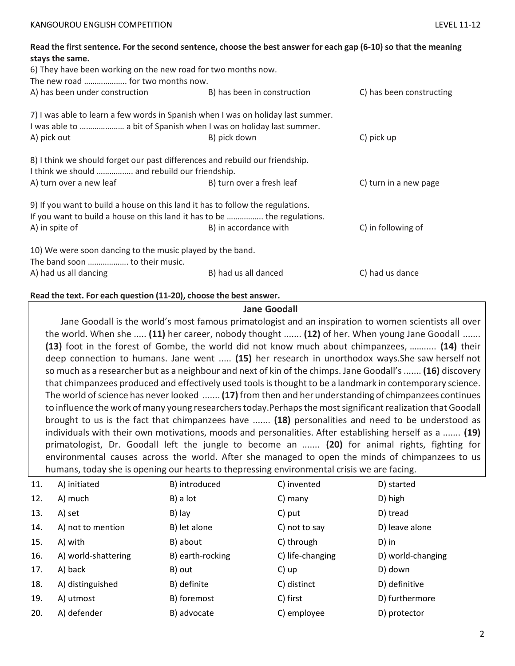|                                                                                | Read the first sentence. For the second sentence, choose the best answer for each gap (6-10) so that the meaning |                          |
|--------------------------------------------------------------------------------|------------------------------------------------------------------------------------------------------------------|--------------------------|
| stays the same.                                                                |                                                                                                                  |                          |
| 6) They have been working on the new road for two months now.                  |                                                                                                                  |                          |
| The new road  for two months now.                                              |                                                                                                                  |                          |
| A) has been under construction                                                 | B) has been in construction                                                                                      | C) has been constructing |
|                                                                                | 7) I was able to learn a few words in Spanish when I was on holiday last summer.                                 |                          |
| I was able to  a bit of Spanish when I was on holiday last summer.             |                                                                                                                  |                          |
| A) pick out                                                                    | B) pick down                                                                                                     | C) pick up               |
| 8) I think we should forget our past differences and rebuild our friendship.   |                                                                                                                  |                          |
| I think we should  and rebuild our friendship.                                 |                                                                                                                  |                          |
| A) turn over a new leaf                                                        | B) turn over a fresh leaf                                                                                        | C) turn in a new page    |
| 9) If you want to build a house on this land it has to follow the regulations. |                                                                                                                  |                          |
|                                                                                | If you want to build a house on this land it has to be  the regulations.                                         |                          |
| A) in spite of                                                                 | B) in accordance with                                                                                            | C) in following of       |
| 10) We were soon dancing to the music played by the band.                      |                                                                                                                  |                          |
| The band soon  to their music.                                                 |                                                                                                                  |                          |
| A) had us all dancing                                                          | B) had us all danced                                                                                             | C) had us dance          |

### **Read the text. For each question (11-20), choose the best answer.**

### **Jane Goodall**

Jane Goodall is the world's most famous primatologist and an inspiration to women scientists all over the world. When she ..... **(11)** her career, nobody thought ....... **(12)** of her. When young Jane Goodall ....... **(13)** foot in the forest of Gombe, the world did not know much about chimpanzees, ……..... **(14)** their deep connection to humans. Jane went ..... **(15)** her research in unorthodox ways.She saw herself not so much as a researcher but as a neighbour and next of kin of the chimps. Jane Goodall's ....... **(16)** discovery that chimpanzees produced and effectively used tools is thought to be a landmark in contemporary science. The world ofscience has neverlooked ....... **(17)** from then and herunderstanding of chimpanzees continues to influence the work of many young researchers today.Perhaps the most significant realization that Goodall brought to us is the fact that chimpanzees have ....... **(18)** personalities and need to be understood as individuals with their own motivations, moods and personalities. After establishing herself as a ....... **(19)** primatologist, Dr. Goodall left the jungle to become an ....... **(20)** for animal rights, fighting for environmental causes across the world. After she managed to open the minds of chimpanzees to us humans, today she is opening our hearts to thepressing environmental crisis we are facing.

| 11. | A) initiated        | B) introduced    | C) invented      | D) started        |
|-----|---------------------|------------------|------------------|-------------------|
| 12. | A) much             | B) a lot         | $C)$ many        | D) high           |
| 13. | A) set              | B) lay           | C) put           | D) tread          |
| 14. | A) not to mention   | B) let alone     | C) not to say    | D) leave alone    |
| 15. | A) with             | B) about         | C) through       | D) in             |
| 16. | A) world-shattering | B) earth-rocking | C) life-changing | D) world-changing |
| 17. | A) back             | B) out           | C) up            | D) down           |
| 18. | A) distinguished    | B) definite      | C) distinct      | D) definitive     |
| 19. | A) utmost           | B) foremost      | C) first         | D) furthermore    |
| 20. | A) defender         | B) advocate      | C) employee      | D) protector      |